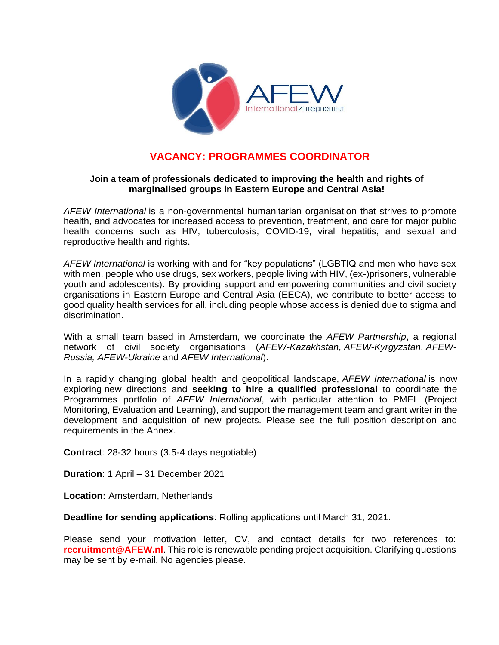

# **VACANCY: PROGRAMMES COORDINATOR**

### **Join a team of professionals dedicated to improving the health and rights of marginalised groups in Eastern Europe and Central Asia!**

*AFEW International* is a non-governmental humanitarian organisation that strives to promote health, and advocates for increased access to prevention, treatment, and care for major public health concerns such as HIV, tuberculosis, COVID-19, viral hepatitis, and sexual and reproductive health and rights.

*AFEW International* is working with and for "key populations" (LGBTIQ and men who have sex with men, people who use drugs, sex workers, people living with HIV, (ex-)prisoners, vulnerable youth and adolescents). By providing support and empowering communities and civil society organisations in Eastern Europe and Central Asia (EECA), we contribute to better access to good quality health services for all, including people whose access is denied due to stigma and discrimination.

With a small team based in Amsterdam, we coordinate the *AFEW Partnership*, a regional network of civil society organisations (*AFEW-Kazakhstan*, *AFEW-Kyrgyzstan*, *AFEW-Russia, AFEW-Ukraine* and *AFEW International*).

In a rapidly changing global health and geopolitical landscape, *AFEW International* is now exploring new directions and **seeking to hire a qualified professional** to coordinate the Programmes portfolio of *AFEW International*, with particular attention to PMEL (Project Monitoring, Evaluation and Learning), and support the management team and grant writer in the development and acquisition of new projects. Please see the full position description and requirements in the Annex.

**Contract**: 28-32 hours (3.5-4 days negotiable)

**Duration**: 1 April – 31 December 2021

**Location:** Amsterdam, Netherlands

**Deadline for sending applications**: Rolling applications until March 31, 2021.

Please send your motivation letter, CV, and contact details for two references to: **[recruitment@AFEW.nl](mailto:recruitment@AFEW.nl)**. This role is renewable pending project acquisition. Clarifying questions may be sent by e-mail. No agencies please.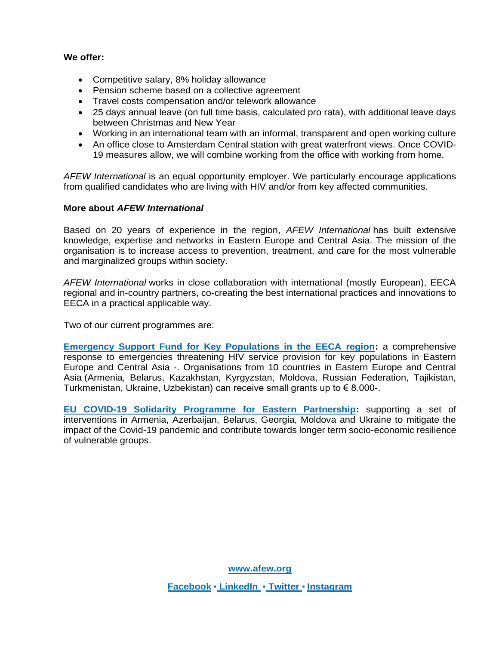#### **We offer:**

- Competitive salary, 8% holiday allowance
- Pension scheme based on a collective agreement
- Travel costs compensation and/or telework allowance
- 25 days annual leave (on full time basis, calculated pro rata), with additional leave days between Christmas and New Year
- Working in an international team with an informal, transparent and open working culture
- An office close to Amsterdam Central station with great waterfront views. Once COVID-19 measures allow, we will combine working from the office with working from home.

*AFEW International* is an equal opportunity employer. We particularly encourage applications from qualified candidates who are living with HIV and/or from key affected communities.

#### **More about** *AFEW International*

Based on 20 years of experience in the region, *AFEW International* has built extensive knowledge, expertise and networks in Eastern Europe and Central Asia. The mission of the organisation is to increase access to prevention, treatment, and care for the most vulnerable and marginalized groups within society.

*AFEW International* works in close collaboration with international (mostly European), EECA regional and in-country partners, co-creating the best international practices and innovations to EECA in a practical applicable way.

Two of our current programmes are:

**[Emergency Support Fund for Key Populations in the EECA region:](http://afew.org/projects/current-projects/emergency-fund-eng/)** a comprehensive response to emergencies threatening HIV service provision for key populations in Eastern Europe and Central Asia -. Organisations from 10 countries in Eastern Europe and Central Asia (Armenia, Belarus, Kazakhstan, Kyrgyzstan, Moldova, Russian Federation, Tajikistan, Turkmenistan, Ukraine, Uzbekistan) can receive small grants up to  $\in$  8.000-.

**[EU COVID-19 Solidarity Programme for Eastern Partnership:](http://afew.org/projects/current-projects/covid-solidarity/)** supporting a set of interventions in Armenia, Azerbaijan, Belarus, Georgia, Moldova and Ukraine to mitigate the impact of the Covid-19 pandemic and contribute towards longer term socio-economic resilience of vulnerable groups.

**[www.afew.org](http://www.afew.org/)**

**[Facebook](http://www.facebook.com/AFEWInternational)** ▪ **[LinkedIn](https://www.linkedin.com/company/afewinternational)** ▪ **[Twitter](https://twitter.com/afew_int)** ▪ **[Instagram](https://www.instagram.com/afew_international/)**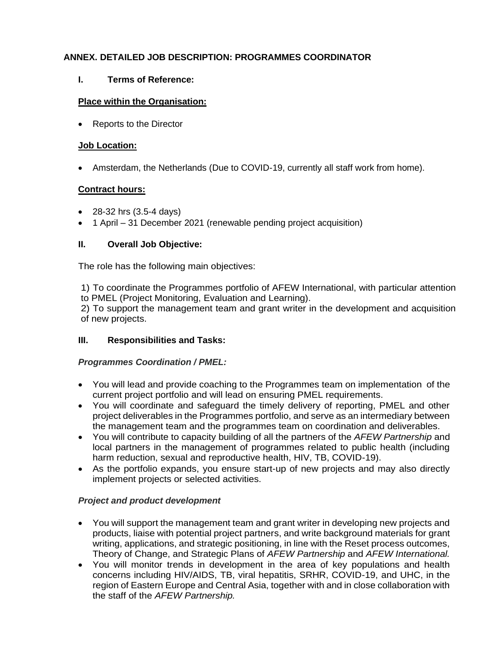### **ANNEX. DETAILED JOB DESCRIPTION: PROGRAMMES COORDINATOR**

**I. Terms of Reference:**

### **Place within the Organisation:**

• Reports to the Director

### **Job Location:**

• Amsterdam, the Netherlands (Due to COVID-19, currently all staff work from home).

### **Contract hours:**

- 28-32 hrs (3.5-4 days)
- 1 April 31 December 2021 (renewable pending project acquisition)

### **II. Overall Job Objective:**

The role has the following main objectives:

1) To coordinate the Programmes portfolio of AFEW International, with particular attention to PMEL (Project Monitoring, Evaluation and Learning).

2) To support the management team and grant writer in the development and acquisition of new projects.

### **III. Responsibilities and Tasks:**

### *Programmes Coordination / PMEL:*

- You will lead and provide coaching to the Programmes team on implementation of the current project portfolio and will lead on ensuring PMEL requirements.
- You will coordinate and safeguard the timely delivery of reporting, PMEL and other project deliverables in the Programmes portfolio, and serve as an intermediary between the management team and the programmes team on coordination and deliverables.
- You will contribute to capacity building of all the partners of the *AFEW Partnership* and local partners in the management of programmes related to public health (including harm reduction, sexual and reproductive health, HIV, TB, COVID-19).
- As the portfolio expands, you ensure start-up of new projects and may also directly implement projects or selected activities.

### *Project and product development*

- You will support the management team and grant writer in developing new projects and products, liaise with potential project partners, and write background materials for grant writing, applications, and strategic positioning, in line with the Reset process outcomes, Theory of Change, and Strategic Plans of *AFEW Partnership* and *AFEW International.*
- You will monitor trends in development in the area of key populations and health concerns including HIV/AIDS, TB, viral hepatitis, SRHR, COVID-19, and UHC, in the region of Eastern Europe and Central Asia, together with and in close collaboration with the staff of the *AFEW Partnership.*